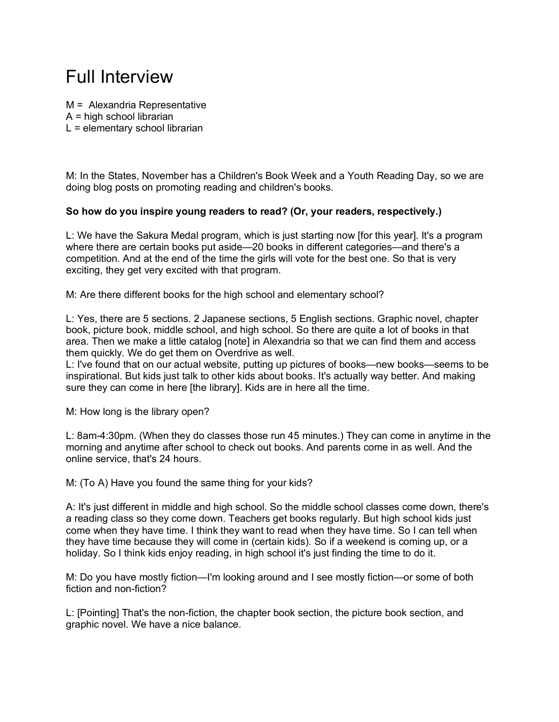## Full Interview

M = Alexandria Representative  $A =$  high school librarian  $L =$  elementary school librarian

M: In the States, November has a Children's Book Week and a Youth Reading Day, so we are doing blog posts on promoting reading and children's books.

## **So how do you inspire young readers to read? (Or, your readers, respectively.)**

L: We have the Sakura Medal program, which is just starting now [for this year]. It's a program where there are certain books put aside—20 books in different categories—and there's a competition. And at the end of the time the girls will vote for the best one. So that is very exciting, they get very excited with that program.

M: Are there different books for the high school and elementary school?

L: Yes, there are 5 sections. 2 Japanese sections, 5 English sections. Graphic novel, chapter book, picture book, middle school, and high school. So there are quite a lot of books in that area. Then we make a little catalog [note] in Alexandria so that we can find them and access them quickly. We do get them on Overdrive as well.

L: I've found that on our actual website, putting up pictures of books—new books—seems to be inspirational. But kids just talk to other kids about books. It's actually way better. And making sure they can come in here [the library]. Kids are in here all the time.

M: How long is the library open?

L: 8am-4:30pm. (When they do classes those run 45 minutes.) They can come in anytime in the morning and anytime after school to check out books. And parents come in as well. And the online service, that's 24 hours.

M: (To A) Have you found the same thing for your kids?

A: It's just different in middle and high school. So the middle school classes come down, there's a reading class so they come down. Teachers get books regularly. But high school kids just come when they have time. I think they want to read when they have time. So I can tell when they have time because they will come in (certain kids). So if a weekend is coming up, or a holiday. So I think kids enjoy reading, in high school it's just finding the time to do it.

M: Do you have mostly fiction—I'm looking around and I see mostly fiction—or some of both fiction and non-fiction?

L: [Pointing] That's the non-fiction, the chapter book section, the picture book section, and graphic novel. We have a nice balance.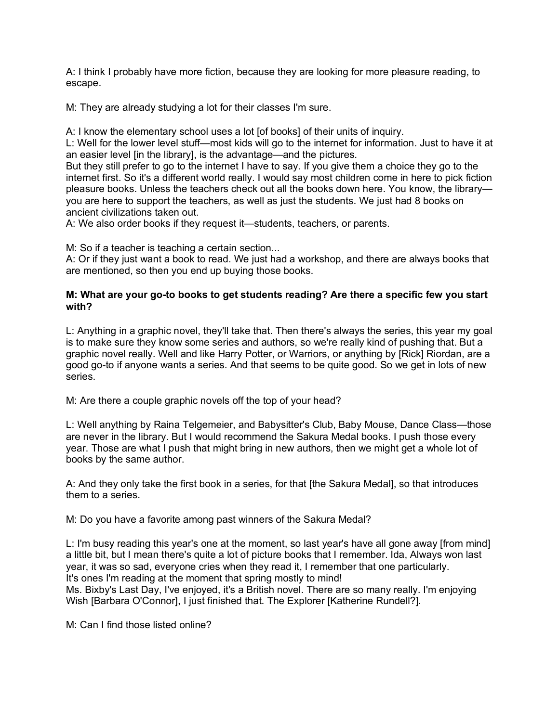A: I think I probably have more fiction, because they are looking for more pleasure reading, to escape.

M: They are already studying a lot for their classes I'm sure.

A: I know the elementary school uses a lot [of books] of their units of inquiry.

L: Well for the lower level stuff—most kids will go to the internet for information. Just to have it at an easier level [in the library], is the advantage—and the pictures.

But they still prefer to go to the internet I have to say. If you give them a choice they go to the internet first. So it's a different world really. I would say most children come in here to pick fiction pleasure books. Unless the teachers check out all the books down here. You know, the library you are here to support the teachers, as well as just the students. We just had 8 books on ancient civilizations taken out.

A: We also order books if they request it—students, teachers, or parents.

M: So if a teacher is teaching a certain section...

A: Or if they just want a book to read. We just had a workshop, and there are always books that are mentioned, so then you end up buying those books.

## **M: What are your go-to books to get students reading? Are there a specific few you start with?**

L: Anything in a graphic novel, they'll take that. Then there's always the series, this year my goal is to make sure they know some series and authors, so we're really kind of pushing that. But a graphic novel really. Well and like Harry Potter, or Warriors, or anything by [Rick] Riordan, are a good go-to if anyone wants a series. And that seems to be quite good. So we get in lots of new series.

M: Are there a couple graphic novels off the top of your head?

L: Well anything by Raina Telgemeier, and Babysitter's Club, Baby Mouse, Dance Class—those are never in the library. But I would recommend the Sakura Medal books. I push those every year. Those are what I push that might bring in new authors, then we might get a whole lot of books by the same author.

A: And they only take the first book in a series, for that [the Sakura Medal], so that introduces them to a series.

M: Do you have a favorite among past winners of the Sakura Medal?

L: I'm busy reading this year's one at the moment, so last year's have all gone away [from mind] a little bit, but I mean there's quite a lot of picture books that I remember. Ida, Always won last year, it was so sad, everyone cries when they read it, I remember that one particularly. It's ones I'm reading at the moment that spring mostly to mind!

Ms. Bixby's Last Day, I've enjoyed, it's a British novel. There are so many really. I'm enjoying Wish [Barbara O'Connor], I just finished that. The Explorer [Katherine Rundell?].

M: Can I find those listed online?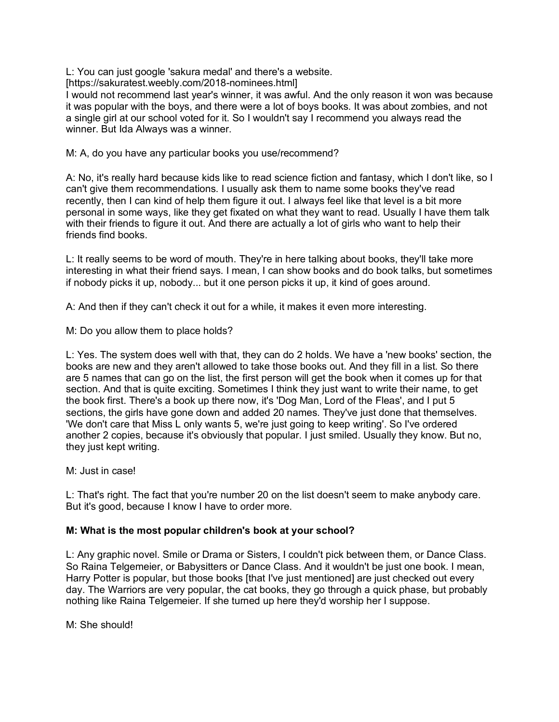L: You can just google 'sakura medal' and there's a website.

[https://sakuratest.weebly.com/2018-nominees.html]

I would not recommend last year's winner, it was awful. And the only reason it won was because it was popular with the boys, and there were a lot of boys books. It was about zombies, and not a single girl at our school voted for it. So I wouldn't say I recommend you always read the winner. But Ida Always was a winner.

M: A, do you have any particular books you use/recommend?

A: No, it's really hard because kids like to read science fiction and fantasy, which I don't like, so I can't give them recommendations. I usually ask them to name some books they've read recently, then I can kind of help them figure it out. I always feel like that level is a bit more personal in some ways, like they get fixated on what they want to read. Usually I have them talk with their friends to figure it out. And there are actually a lot of girls who want to help their friends find books.

L: It really seems to be word of mouth. They're in here talking about books, they'll take more interesting in what their friend says. I mean, I can show books and do book talks, but sometimes if nobody picks it up, nobody... but it one person picks it up, it kind of goes around.

A: And then if they can't check it out for a while, it makes it even more interesting.

M: Do you allow them to place holds?

L: Yes. The system does well with that, they can do 2 holds. We have a 'new books' section, the books are new and they aren't allowed to take those books out. And they fill in a list. So there are 5 names that can go on the list, the first person will get the book when it comes up for that section. And that is quite exciting. Sometimes I think they just want to write their name, to get the book first. There's a book up there now, it's 'Dog Man, Lord of the Fleas', and I put 5 sections, the girls have gone down and added 20 names. They've just done that themselves. 'We don't care that Miss L only wants 5, we're just going to keep writing'. So I've ordered another 2 copies, because it's obviously that popular. I just smiled. Usually they know. But no, they just kept writing.

M: Just in case!

L: That's right. The fact that you're number 20 on the list doesn't seem to make anybody care. But it's good, because I know I have to order more.

## **M: What is the most popular children's book at your school?**

L: Any graphic novel. Smile or Drama or Sisters, I couldn't pick between them, or Dance Class. So Raina Telgemeier, or Babysitters or Dance Class. And it wouldn't be just one book. I mean, Harry Potter is popular, but those books [that I've just mentioned] are just checked out every day. The Warriors are very popular, the cat books, they go through a quick phase, but probably nothing like Raina Telgemeier. If she turned up here they'd worship her I suppose.

M: She should!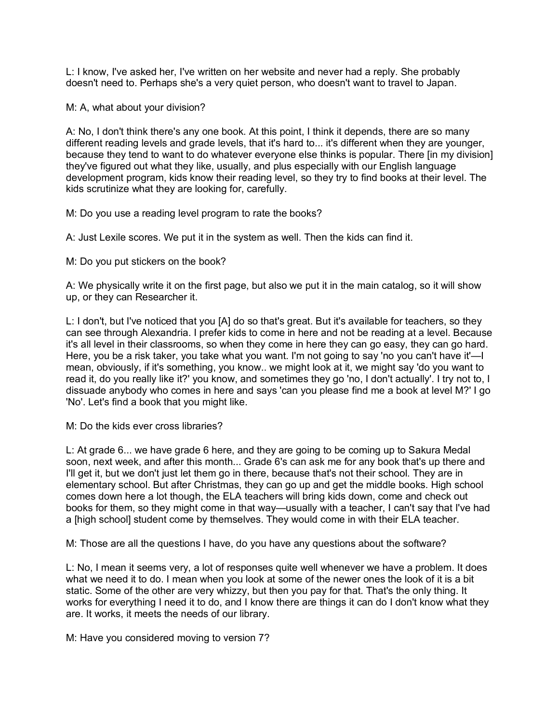L: I know, I've asked her, I've written on her website and never had a reply. She probably doesn't need to. Perhaps she's a very quiet person, who doesn't want to travel to Japan.

M: A, what about your division?

A: No, I don't think there's any one book. At this point, I think it depends, there are so many different reading levels and grade levels, that it's hard to... it's different when they are younger, because they tend to want to do whatever everyone else thinks is popular. There [in my division] they've figured out what they like, usually, and plus especially with our English language development program, kids know their reading level, so they try to find books at their level. The kids scrutinize what they are looking for, carefully.

M: Do you use a reading level program to rate the books?

A: Just Lexile scores. We put it in the system as well. Then the kids can find it.

M: Do you put stickers on the book?

A: We physically write it on the first page, but also we put it in the main catalog, so it will show up, or they can Researcher it.

L: I don't, but I've noticed that you [A] do so that's great. But it's available for teachers, so they can see through Alexandria. I prefer kids to come in here and not be reading at a level. Because it's all level in their classrooms, so when they come in here they can go easy, they can go hard. Here, you be a risk taker, you take what you want. I'm not going to say 'no you can't have it'—I mean, obviously, if it's something, you know.. we might look at it, we might say 'do you want to read it, do you really like it?' you know, and sometimes they go 'no, I don't actually'. I try not to, I dissuade anybody who comes in here and says 'can you please find me a book at level M?' I go 'No'. Let's find a book that you might like.

M: Do the kids ever cross libraries?

L: At grade 6... we have grade 6 here, and they are going to be coming up to Sakura Medal soon, next week, and after this month... Grade 6's can ask me for any book that's up there and I'll get it, but we don't just let them go in there, because that's not their school. They are in elementary school. But after Christmas, they can go up and get the middle books. High school comes down here a lot though, the ELA teachers will bring kids down, come and check out books for them, so they might come in that way—usually with a teacher, I can't say that I've had a [high school] student come by themselves. They would come in with their ELA teacher.

M: Those are all the questions I have, do you have any questions about the software?

L: No, I mean it seems very, a lot of responses quite well whenever we have a problem. It does what we need it to do. I mean when you look at some of the newer ones the look of it is a bit static. Some of the other are very whizzy, but then you pay for that. That's the only thing. It works for everything I need it to do, and I know there are things it can do I don't know what they are. It works, it meets the needs of our library.

M: Have you considered moving to version 7?